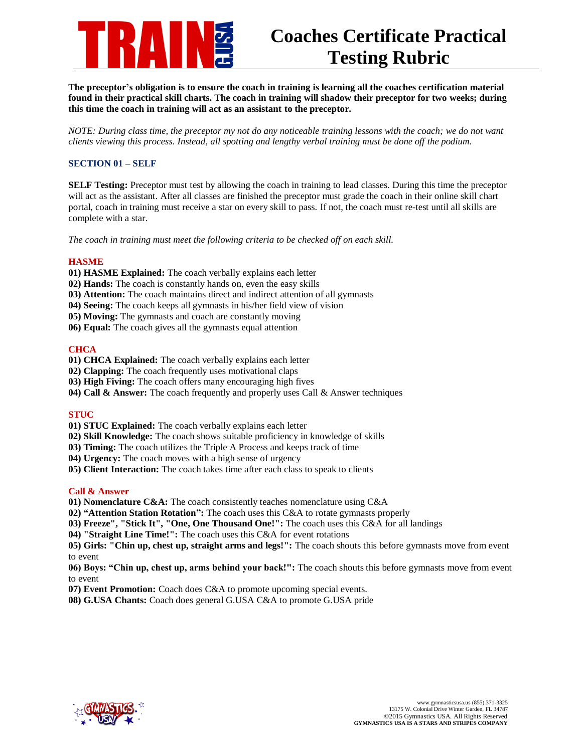

**The preceptor's obligation is to ensure the coach in training is learning all the coaches certification material found in their practical skill charts. The coach in training will shadow their preceptor for two weeks; during this time the coach in training will act as an assistant to the preceptor.** 

*NOTE: During class time, the preceptor my not do any noticeable training lessons with the coach; we do not want clients viewing this process. Instead, all spotting and lengthy verbal training must be done off the podium.* 

# **SECTION 01 – SELF**

**SELF Testing:** Preceptor must test by allowing the coach in training to lead classes. During this time the preceptor will act as the assistant. After all classes are finished the preceptor must grade the coach in their online skill chart portal, coach in training must receive a star on every skill to pass. If not, the coach must re-test until all skills are complete with a star.

*The coach in training must meet the following criteria to be checked off on each skill.* 

## **HASME**

- **01) HASME Explained:** The coach verbally explains each letter
- **02) Hands:** The coach is constantly hands on, even the easy skills
- **03) Attention:** The coach maintains direct and indirect attention of all gymnasts
- **04) Seeing:** The coach keeps all gymnasts in his/her field view of vision
- **05) Moving:** The gymnasts and coach are constantly moving
- **06) Equal:** The coach gives all the gymnasts equal attention

## **CHCA**

- **01) CHCA Explained:** The coach verbally explains each letter
- **02) Clapping:** The coach frequently uses motivational claps
- **03) High Fiving:** The coach offers many encouraging high fives
- **04) Call & Answer:** The coach frequently and properly uses Call & Answer techniques

## **STUC**

- **01) STUC Explained:** The coach verbally explains each letter
- **02) Skill Knowledge:** The coach shows suitable proficiency in knowledge of skills
- **03) Timing:** The coach utilizes the Triple A Process and keeps track of time
- **04) Urgency:** The coach moves with a high sense of urgency
- **05) Client Interaction:** The coach takes time after each class to speak to clients

## **Call & Answer**

- **01) Nomenclature C&A:** The coach consistently teaches nomenclature using C&A
- **02) "Attention Station Rotation":** The coach uses this C&A to rotate gymnasts properly
- **03) Freeze", "Stick It", "One, One Thousand One!":** The coach uses this C&A for all landings
- **04) "Straight Line Time!":** The coach uses this C&A for event rotations

**05) Girls: "Chin up, chest up, straight arms and legs!":** The coach shouts this before gymnasts move from event to event

**06) Boys: "Chin up, chest up, arms behind your back!":** The coach shouts this before gymnasts move from event to event

- **07) Event Promotion:** Coach does C&A to promote upcoming special events.
- **08) G.USA Chants:** Coach does general G.USA C&A to promote G.USA pride